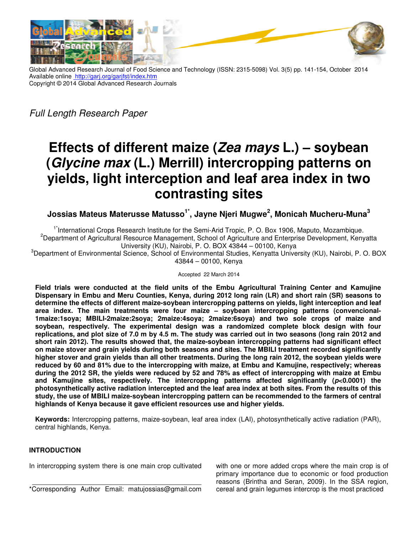

Global Advanced Research Journal of Food Science and Technology (ISSN: 2315-5098) Vol. 3(5) pp. 141-154, October 2014 Available online **http://garj.org/garjfst/index.htm** Copyright © 2014 Global Advanced Research Journals Global Advanced

*Full Length Research Paper* 

# **Effects of different maize ( Zea mays L.) – – soybean (Glycine max (L.) Merrill) intercropping patterns on yields, light interception and leaf area index in two (L.) Merrill) intercropping patterns on<br>iterception and leaf area index in two<br>contrasting sites**

**Jossias Mateus Materusse Matusso 1\*, Jayne Njeri Mugwe<sup>2</sup> , Monicah Mucheru , Mucheru-Muna<sup>3</sup>**

<sup>1\*</sup>International Crops Research Institute for the Semi-Arid Tropic, P. O. Box 1906, Maputo, Mozambique. <sup>2</sup>Department of Agricultural Resource Management, School of Agriculture and Enterprise Development, Kenyatta University (KU), Nairobi, P. O. BOX 43844 – 00100, Kenya <sup>3</sup>Department of Environmental Science, School of Environmental Studies, Kenyatta University (KU), Nairobi, P. O. BOX 43844 – 00100, Kenya

Accepted 22 March 2014

**Field trials were conducted at the field units of the Embu Agricultural Training Center and Kamujine**  Field trials were conducted at the field units of the Embu Agricultural Training Center and Kamujine<br>Dispensary in Embu and Meru Counties, Kenya, during 2012 long rain (LR) and short rain (SR) seasons to determine the effects of different maize-soybean intercropping patterns on yields, light interception and leaf area index. The main treatments were four maize – soybean intercropping patterns (convencional **1maize:1soya; MBILI-2maize:2soya; 2maize:4soya; 2maize:6soya) and two sole crops of maize and soybean, respectively. The experimental design was a randomized complete block design with four replications, and plot size of 7.0 m by 4.5 m. The study was carried out in two seasons (long rain 2012 and**  short rain 2012). The results showed that, the maize-soybean intercropping patterns had significant effect on maize stover and grain yields during both seasons and sites. The MBILI treatment recorded significantly higher stover and grain yields than all other treatments. During the long rain 2012, the soybean yields w **reduced by 60 and 81% due to the intercropping with maize, at Embu and Kamujine, respectively; whereas during the 2012 SR, the yields were reduced by 52 and 78% as effect of intercropping with maize at Embu**  reduced by 60 and 81% due to the intercropping with maize, at Embu and Kamujine, respectively; whereas<br>during the 2012 SR, the yields were reduced by 52 and 78% as effect of intercropping with maize at Embu<br>and Kamujine **photosynthetically active radiation intercepted and the leaf area index at both sites. From the results of this study, the use of MBILI maize-soybean intercropping pattern can be recommended to the highlands of Kenya because it gave efficient resources use and higher yields.** a; MBILI-2maize:2soya; 2maize:4soya; 2maize:6soya) and two sole crops of maize and<br>spectively. The experimental design was a randomized complete block design with four<br>and plot size of 7.0 m by 4.5 m. The study was carried active radiation intercepte<br>BILI maize-soybean interc<br><sub>l</sub> because it gave efficient g 2012 long rain (LR) and short rain (SR) seasons to<br>ropping patterns on yields, light interception and leaf<br>— soybean intercropping patterns (convencional**farmers of central** 

Keywords: Intercropping patterns, maize-soybean, leaf area index (LAI), photosynthetically active radiation (PAR), central highlands, Kenya.

# **INTRODUCTION**

In intercropping system there is one main crop cultivated

In intercropping system there is one main crop cultivated<br>
primary importance due to economic or food production<br>
<sup>\*</sup>Corresponding Author Email: matujossias@gmail.com<br>
\*Corresponding Author Email: matujossias@gmail.com<br>
\*C primary importance due to economic or food production reasons (Brintha and Seran, 2009). In the SSA region, cereal and grain legumes intercrop is the most practiced soybean, leaf area index (LAI), photosynthetically active radiation (PAR),<br>
rop cultivated with one or more added crops where the main crop is c<br>
primary importance due to economic or food production<br>
reasons (Brintha and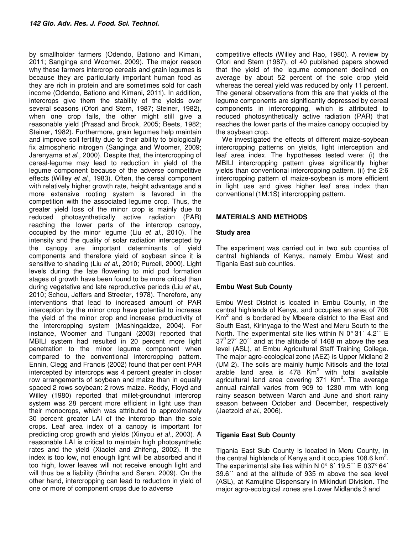by smallholder farmers (Odendo, Bationo and Kimani, 2011; Sanginga and Woomer, 2009). The major reason why these farmers intercrop cereals and grain legumes is because they are particularly important human food as they are rich in protein and are sometimes sold for cash income (Odendo, Bationo and Kimani, 2011). In addition, intercrops give them the stability of the yields over several seasons (Ofori and Stern, 1987; Steiner, 1982), when one crop fails, the other might still give a reasonable yield (Prasad and Brook, 2005; Beets, 1982; Steiner, 1982). Furthermore, grain legumes help maintain and improve soil fertility due to their ability to biologically fix atmospheric nitrogen (Sanginga and Woomer, 2009; Jarenyama *et al.,* 2000). Despite that, the intercropping of cereal-legume may lead to reduction in yield of the legume component because of the adverse competitive effects (Willey *et al*., 1983). Often, the cereal component with relatively higher growth rate, height advantage and a more extensive rooting system is favored in the competition with the associated legume crop. Thus, the greater yield loss of the minor crop is mainly due to reduced photosynthetically active radiation (PAR) reaching the lower parts of the intercrop canopy, occupied by the minor legume (Liu *et al*., 2010). The intensity and the quality of solar radiation intercepted by the canopy are important determinants of yield components and therefore yield of soybean since it is sensitive to shading (Liu *et al*., 2010; Purcell, 2000). Light levels during the late flowering to mid pod formation stages of growth have been found to be more critical than during vegetative and late reproductive periods (Liu *et al*., 2010; Schou, Jeffers and Streeter, 1978). Therefore, any interventions that lead to increased amount of PAR interception by the minor crop have potential to increase the yield of the minor crop and increase productivity of the intercropping system (Mashingaidze, 2004). For instance, Woomer and Tungani (2003) reported that MBILI system had resulted in 20 percent more light penetration to the minor legume component when compared to the conventional intercropping pattern. Ennin, Clegg and Francis (2002) found that per cent PAR intercepted by intercrops was 4 percent greater in closer row arrangements of soybean and maize than in equally spaced 2 rows soybean: 2 rows maize. Reddy, Floyd and Willey (1980) reported that millet-groundnut intercrop system was 28 percent more efficient in light use than their monocrops, which was attributed to approximately 30 percent greater LAI of the intercrop than the sole crops. Leaf area index of a canopy is important for predicting crop growth and yields (Xinyou *et al.*, 2003). A reasonable LAI is critical to maintain high photosynthetic rates and the yield (Xiaolei and Zhifeng, 2002). If the index is too low, not enough light will be absorbed and if too high, lower leaves will not receive enough light and will thus be a liability (Brintha and Seran, 2009). On the other hand, intercropping can lead to reduction in yield of one or more of component crops due to adverse

competitive effects (Willey and Rao, 1980). A review by Ofori and Stern (1987), of 40 published papers showed that the yield of the legume component declined on average by about 52 percent of the sole crop yield whereas the cereal yield was reduced by only 11 percent. The general observations from this are that yields of the legume components are significantly depressed by cereal components in intercropping, which is attributed to reduced photosynthetically active radiation (PAR) that reaches the lower parts of the maize canopy occupied by the soybean crop.

We investigated the effects of different maize-soybean intercropping patterns on yields, light interception and leaf area index. The hypotheses tested were: (i) the MBILI intercropping pattern gives significantly higher yields than conventional intercropping pattern. (ii) the 2:6 intercropping pattern of maize-soybean is more efficient in light use and gives higher leaf area index than conventional (1M:1S) intercropping pattern.

# **MATERIALS AND METHODS**

# **Study area**

The experiment was carried out in two sub counties of central highlands of Kenya, namely Embu West and Tigania East sub counties.

# **Embu West Sub County**

Embu West District is located in Embu County, in the central highlands of Kenya, and occupies an area of 708  $Km<sup>2</sup>$  and is bordered by Mbeere district to the East and South East, Kirinyaga to the West and Meru South to the North. The experimental site lies within N 0° 31´ 4.2´´ E  $37^{\circ}$  27<sup> $\circ$ </sup> 20<sup> $\circ$ </sup> and at the altitude of 1468 m above the sea level (ASL), at Embu Agricultural Staff Training College. The major agro-ecological zone (AEZ) is Upper Midland 2 (UM 2). The soils are mainly humic Nitisols and the total arable land area is  $478$  Km<sup>2</sup> with total available agricultural land area covering 371 Km<sup>2</sup>. The average annual rainfall varies from 909 to 1230 mm with long rainy season between March and June and short rainy season between October and December, respectively (Jaetzold *et al*., 2006).

# **Tigania East Sub County**

Tigania East Sub County is located in Meru County, in the central highlands of Kenya and it occupies 108.6  $\text{km}^2$ . The experimental site lies within N 0° 6' 19.5" E 037° 64' 39.6´´ and at the altitude of 935 m above the sea level (ASL), at Kamujine Dispensary in Mikinduri Division. The major agro-ecological zones are Lower Midlands 3 and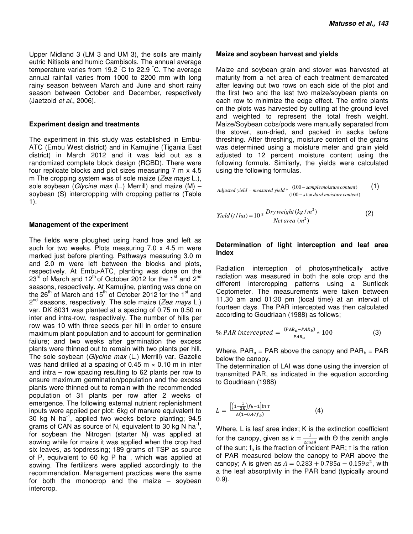Upper Midland 3 (LM 3 and UM 3), the soils are mainly eutric Nitisols and humic Cambisols. The annual average temperature varies from 19.2 °C to 22.9 °C. The average annual rainfall varies from 1000 to 2200 mm with long rainy season between March and June and short rainy season between October and December, respectively (Jaetzold *et al.*, 2006).

#### **Experiment design and treatments**

The experiment in this study was established in Embu-ATC (Embu West district) and in Kamujine (Tigania East district) in March 2012 and it was laid out as a randomized complete block design (RCBD). There were four replicate blocks and plot sizes measuring 7 m x 4.5 m The cropping system was of sole maize (*Zea mays* L.), sole soybean (*Glycine max* (L.) Merrill) and maize (M) – soybean (S) intercropping with cropping patterns (Table 1).

#### **Management of the experiment**

The fields were ploughed using hand hoe and left as such for two weeks. Plots measuring 7.0 x 4.5 m were marked just before planting. Pathways measuring 3.0 m and 2.0 m were left between the blocks and plots, respectively. At Embu-ATC, planting was done on the  $23<sup>rd</sup>$  of March and 12<sup>th</sup> of October 2012 for the 1<sup>st</sup> and 2<sup>nd</sup> seasons, respectively. At Kamujine, planting was done on the 26<sup>th</sup> of March and 15<sup>th</sup> of October 2012 for the 1<sup>st</sup> and 2 nd seasons, respectively. The sole maize (*Zea mays* L.) var. DK 8031 was planted at a spacing of 0.75 m 0.50 m inter and intra-row, respectively. The number of hills per row was 10 with three seeds per hill in order to ensure maximum plant population and to account for germination failure; and two weeks after germination the excess plants were thinned out to remain with two plants per hill. The sole soybean (*Glycine max* (L.) Merrill) var. Gazelle was hand drilled at a spacing of 0.45 m  $\times$  0.10 m in inter and intra – row spacing resulting to 62 plants per row to ensure maximum germination/population and the excess plants were thinned out to remain with the recommended population of 31 plants per row after 2 weeks of emergence. The following external nutrient replenishment inputs were applied per plot: 6kg of manure equivalent to  $30$  kg N ha<sup>-1</sup>, applied two weeks before planting; 94.5 grams of CAN as source of N, equivalent to 30 kg N ha<sup>-1</sup>, for soybean the Nitrogen (starter N) was applied at sowing while for maize it was applied when the crop had six leaves, as topdressing; 189 grams of TSP as source of P, equivalent to 60 kg P ha<sup>-1</sup>, which was applied at sowing. The fertilizers were applied accordingly to the recommendation. Management practices were the same for both the monocrop and the maize – soybean intercrop.

#### **Maize and soybean harvest and yields**

Maize and soybean grain and stover was harvested at maturity from a net area of each treatment demarcated after leaving out two rows on each side of the plot and the first two and the last two maize/soybean plants on each row to minimize the edge effect. The entire plants on the plots was harvested by cutting at the ground level and weighted to represent the total fresh weight. Maize/Soybean cobs/pods were manually separated from the stover, sun-dried, and packed in sacks before threshing. After threshing, moisture content of the grains was determined using a moisture meter and grain yield adjusted to 12 percent moisture content using the following formula. Similarly, the yields were calculated using the following formulas.

Adjusted yield = measured yield 
$$
*(100 - \text{sample moisture content})
$$

\n(1)

\n(1)

$$
Yield(t/ha) = 10 * \frac{Dry weight (kg/m2)}{Net area (m2)} \tag{2}
$$

### **Determination of light interception and leaf area index**

Radiation interception of photosynthetically active radiation was measured in both the sole crop and the different intercropping patterns using a Sunfleck Ceptometer. The measurements were taken between 11.30 am and 01:30 pm (local time) at an interval of fourteen days. The PAR intercepted was then calculated according to Goudriaan (1988) as follows;

% *PAR* intercepted = 
$$
\frac{(PAR_a - PAR_b)}{PAR_a} * 100
$$
 (3)

Where,  $PAR_a = PAR$  above the canopy and  $PAR_b = PAR$ below the canopy.

The determination of LAI was done using the inversion of transmitted PAR, as indicated in the equation according to Goudriaan (1988)

$$
L = \frac{\left[ \left( 1 - \frac{1}{2K} \right) f_b - 1 \right] \ln \tau}{A (1 - 0.47 f_b)} \tag{4}
$$

Where, L is leaf area index; K is the extinction coefficient for the canopy, given as  $k = \frac{1}{2cos\theta}$  with  $\Theta$  the zenith angle of the sun;  $f<sub>b</sub>$  is the fraction of incident PAR;  $\tau$  is the ration of PAR measured below the canopy to PAR above the canopy; A is given as  $A = 0.283 + 0.785a - 0.159a^2$ , with a the leaf absorptivity in the PAR band (typically around 0.9).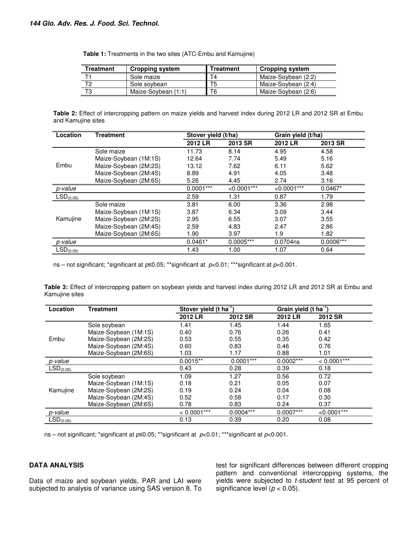| Treatment | <b>Cropping system</b> | Treatment | <b>Cropping system</b> |
|-----------|------------------------|-----------|------------------------|
|           | Sole maize             | T4        | Maize-Sovbean (2:2)    |
| רי        | Sole sovbean           | T5        | Maize-Soybean (2:4)    |
| т٥        | Maize-Soybean (1:1)    | T6        | Maize-Soybean (2:6)    |

 **Table 1:** Treatments in the two sites (ATC-Embu and Kamujine)

**Table 2:** Effect of intercropping pattern on maize yields and harvest index during 2012 LR and 2012 SR at Embu and Kamujine sites

| Location              | <b>Treatment</b>      |             | Stover yield (t/ha) |                | Grain yield (t/ha) |
|-----------------------|-----------------------|-------------|---------------------|----------------|--------------------|
|                       |                       | 2012 LR     | 2013 SR             | 2012 LR        | 2013 SR            |
|                       | Sole maize            | 11.73       | 8.14                | 4.95           | 4.58               |
|                       | Maize-Soybean (1M:1S) | 12.64       | 7.74                | 5.49           | 5.16               |
| Embu                  | Maize-Soybean (2M:2S) | 13.12       | 7.62                | 6.11           | 5.62               |
|                       | Maize-Soybean (2M:4S) | 8.89        | 4.91                | 4.05           | 3.48               |
|                       | Maize-Soybean (2M:6S) | 5.26        | 4.45                | 2.74           | 3.16               |
| p-value               |                       | $0.0001***$ | $< 0.0001***$       | $< 0.0001$ *** | $0.0467*$          |
| $LSD_{(0.05)}$        |                       | 2.59        | 1.31                | 0.87           | 1.79               |
|                       | Sole maize            | 3.81        | 6.00                | 3.36           | 2.98               |
|                       | Maize-Soybean (1M:1S) | 3.87        | 6.34                | 3.09           | 3.44               |
| Kamujine              | Maize-Soybean (2M:2S) | 2.95        | 6.55                | 3.07           | 3.55               |
|                       | Maize-Soybean (2M:4S) | 2.59        | 4.83                | 2.47           | 2.86               |
|                       | Maize-Soybean (2M:6S) | 1.90        | 3.97                | 1.9            | 1.82               |
| p-value               |                       | $0.0461*$   | $0.0005***$         | 0.0704ns       | $0.0006***$        |
| LSD <sub>(0.05)</sub> |                       | 1.43        | 1.00                | 1.07           | 0.64               |

ns – not significant; \*significant at *p*≤0.05; \*\*significant at *p*<0.01; \*\*\*significant at *p*<0.001.

**Table 3:** Effect of intercropping pattern on soybean yields and harvest index during 2012 LR and 2012 SR at Embu and Kamujine sites

| Location              | <b>Treatment</b>      |               | Stover yield $(t \text{ ha}^{-1})$ |             | Grain yield (t ha <sup>-1</sup> ) |
|-----------------------|-----------------------|---------------|------------------------------------|-------------|-----------------------------------|
|                       |                       | 2012 LR       | 2012 SR                            | 2012 LR     | 2012 SR                           |
|                       | Sole soybean          | 1.41          | 1.45                               | 1.44        | 1.65                              |
|                       | Maize-Soybean (1M:1S) | 0.40          | 0.76                               | 0.26        | 0.41                              |
| Embu                  | Maize-Soybean (2M:2S) | 0.53          | 0.55                               | 0.35        | 0.42                              |
|                       | Maize-Soybean (2M:4S) | 0.60          | 0.83                               | 0.46        | 0.76                              |
|                       | Maize-Soybean (2M:6S) | 1.03          | 1.17                               | 0.88        | 1.01                              |
| p-value               |                       | $0.0015**$    | $0.0001***$                        | $0.0002***$ | $< 0.0001***$                     |
| LSD <sub>(0.05)</sub> |                       | 0.43          | 0.28                               | 0.39        | 0.18                              |
|                       | Sole soybean          | 1.09          | 1.27                               | 0.56        | 0.72                              |
|                       | Maize-Soybean (1M:1S) | 0.18          | 0.21                               | 0.05        | 0.07                              |
| Kamujine              | Maize-Soybean (2M:2S) | 0.19          | 0.24                               | 0.04        | 0.08                              |
|                       | Maize-Soybean (2M:4S) | 0.52          | 0.58                               | 0.17        | 0.30                              |
|                       | Maize-Soybean (2M:6S) | 0.78          | 0.83                               | 0.24        | 0.37                              |
| p-value               |                       | $< 0.0001***$ | $0.0004***$                        | $0.0007***$ | $< 0.0001***$                     |
| LSD <sub>(0.05)</sub> |                       | 0.13          | 0.39                               | 0.20        | 0.08                              |

ns – not significant; \*significant at *p*≤0.05; \*\*significant at *p*<0.01; \*\*\*significant at *p*<0.001.

## **DATA ANALYSIS**

Data of maize and soybean yields, PAR and LAI were subjected to analysis of variance using SAS version 8. To test for significant differences between different cropping pattern and conventional intercropping systems, the yields were subjected to *t-student* test at 95 percent of significance level (*p* < 0.05).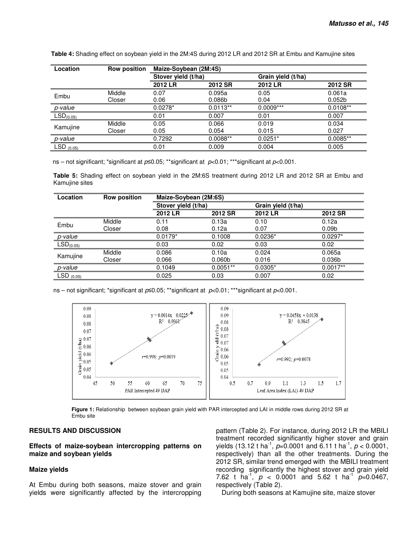| Location              | <b>Row position</b> | Maize-Soybean (2M:4S) |                    |                    |                    |  |  |
|-----------------------|---------------------|-----------------------|--------------------|--------------------|--------------------|--|--|
|                       |                     | Stover yield (t/ha)   |                    | Grain yield (t/ha) |                    |  |  |
|                       |                     | 2012 LR               | 2012 SR            | 2012 LR            | 2012 SR            |  |  |
| Embu                  | Middle              | 0.07                  | 0.095a             | 0.05               | 0.061a             |  |  |
|                       | Closer              | 0.06                  | 0.086 <sub>b</sub> | 0.04               | 0.052 <sub>b</sub> |  |  |
| p-value               |                     | $0.0278*$             | $0.0113**$         | $0.0009***$        | $0.0108**$         |  |  |
| LSD <sub>(0.05)</sub> |                     | 0.01                  | 0.007              | 0.01               | 0.007              |  |  |
|                       | Middle              | 0.05                  | 0.066              | 0.019              | 0.034              |  |  |
| Kamujine              | Closer              | 0.05                  | 0.054              | 0.015              | 0.027              |  |  |
| p-value               |                     | 0.7292                | $0.0088**$         | $0.0251*$          | $0.0085**$         |  |  |
| $LSD_{(0.05)}$        |                     | 0.01                  | 0.009              | 0.004              | 0.005              |  |  |

 **Table 4:** Shading effect on soybean yield in the 2M:4S during 2012 LR and 2012 SR at Embu and Kamujine sites

ns – not significant; \*significant at *p*≤0.05; \*\*significant at *p*<0.01; \*\*\*significant at *p*<0.001.

**Table 5:** Shading effect on soybean yield in the 2M:6S treatment during 2012 LR and 2012 SR at Embu and Kamujine sites

| Location                                    | <b>Row position</b> | Maize-Soybean (2M:6S) |                     |           |                    |  |  |
|---------------------------------------------|---------------------|-----------------------|---------------------|-----------|--------------------|--|--|
|                                             |                     |                       | Stover yield (t/ha) |           |                    |  |  |
|                                             |                     | 2012 LR               | 2012 SR             | 2012 LR   | <b>2012 SR</b>     |  |  |
| Embu                                        | Middle              | 0.11                  | 0.13a               | 0.10      | 0.12a              |  |  |
|                                             | Closer              | 0.08                  | 0.12a               | 0.07      | 0.09 <sub>b</sub>  |  |  |
| p-value                                     |                     | $0.0179*$             | 0.1008              | $0.0236*$ | $0.0297*$          |  |  |
| LSD <sub>(0.05)</sub>                       |                     | 0.03                  | 0.02                | 0.03      | 0.02               |  |  |
|                                             | Middle              | 0.086                 | 0.10a               | 0.024     | 0.065a             |  |  |
| Kamujine                                    | Closer              | 0.066                 | 0.060 <sub>b</sub>  | 0.016     | 0.036 <sub>b</sub> |  |  |
| p-value                                     |                     | 0.1049                | $0.0051**$          | $0.0305*$ | $0.0017**$         |  |  |
| $\overline{\textsf{LSD}}_{\textsf{(0.05)}}$ |                     | 0.025                 | 0.03                | 0.007     | 0.02               |  |  |

ns – not significant; \*significant at *p*≤0.05; \*\*significant at *p*<0.01; \*\*\*significant at *p*<0.001.



**Figure 1:** Relationship between soybean grain yield with PAR intercepted and LAI in middle rows during 2012 SR at Embu site

# **RESULTS AND DISCUSSION**

**Effects of maize-soybean intercropping patterns on maize and soybean yields** 

#### **Maize yields**

At Embu during both seasons, maize stover and grain yields were significantly affected by the intercropping pattern (Table 2). For instance, during 2012 LR the MBILI treatment recorded significantly higher stover and grain yields (13.12 t ha<sup>-1</sup>,  $p=0.0001$  and 6.11 t ha<sup>-1</sup>,  $p < 0.0001$ , respectively) than all the other treatments. During the 2012 SR, similar trend emerged with the MBILI treatment recording significantly the highest stover and grain yield 7.62 t ha<sup>-1</sup>,  $p < 0.0001$  and 5.62 t ha<sup>-1</sup>  $p=0.0467$ , respectively (Table 2).

During both seasons at Kamujine site, maize stover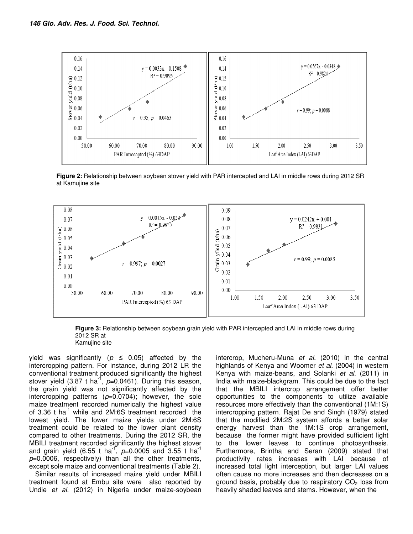

**Figure 2:** Relationship between soybean stover yield with PAR intercepted and LAI in middle rows during 2012 SR at Kamujine site



**Figure 3:** Relationship between soybean grain yield with PAR intercepted and LAI in middle rows during 2012 SR at Kamujine site

yield was significantly (*p ≤* 0.05) affected by the intercropping pattern. For instance, during 2012 LR the conventional treatment produced significantly the highest stover yield (3.87 t ha<sup>-f</sup>, p=0.0461). During this season, the grain yield was not significantly affected by the intercropping patterns (*p*=0.0704); however, the sole maize treatment recorded numerically the highest value of 3.36  $t$  ha<sup>-1</sup> while and 2M:6S treatment recorded the lowest yield. The lower maize yields under 2M:6S treatment could be related to the lower plant density compared to other treatments. During the 2012 SR, the MBILI treatment recorded significantly the highest stover and grain yield (6.55 t ha<sup>-1</sup>, p=0.0005 and 3.55 t ha<sup>-1</sup> *p*=0.0006, respectively) than all the other treatments, except sole maize and conventional treatments (Table 2).

Similar results of increased maize yield under MBILI treatment found at Embu site were also reported by Undie *et al.* (2012) in Nigeria under maize-soybean intercrop, Mucheru-Muna *et al.* (2010) in the central highlands of Kenya and Woomer *et al.* (2004) in western Kenya with maize-beans, and Solanki *et al.* (2011) in India with maize-blackgram. This could be due to the fact that the MBILI intercrop arrangement offer better opportunities to the components to utilize available resources more effectively than the conventional (1M:1S) intercropping pattern. Rajat De and Singh (1979) stated that the modified 2M:2S system affords a better solar energy harvest than the 1M:1S crop arrangement, because the former might have provided sufficient light to the lower leaves to continue photosynthesis. Furthermore, Brintha and Seran (2009) stated that productivity rates increases with LAI because of increased total light interception, but larger LAI values often cause no more increases and then decreases on a ground basis, probably due to respiratory  $CO<sub>2</sub>$  loss from heavily shaded leaves and stems. However, when the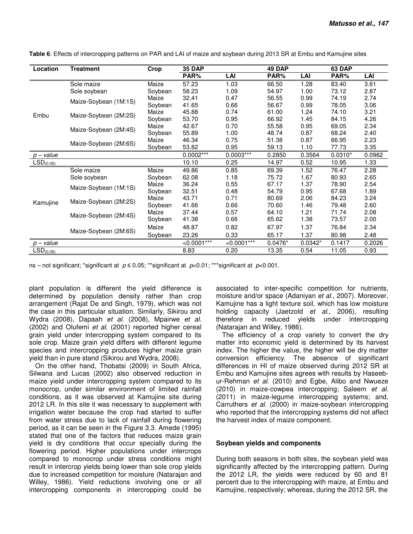| Location                  | <b>Treatment</b>      | Crop    | 35 DAP        |                | 49 DAP    |           | 63 DAP    |        |
|---------------------------|-----------------------|---------|---------------|----------------|-----------|-----------|-----------|--------|
|                           |                       |         | PAR%          | LAI            | PAR%      | LAI       | PAR%      | LAI    |
|                           | Sole maize            | Maize   | 57.23         | 1.03           | 66.50     | 1.28      | 83.40     | 3.61   |
|                           | Sole soybean          | Soybean | 58.23         | 1.09           | 54.97     | 1.00      | 73.12     | 2.87   |
|                           | Maize-Soybean (1M:1S) | Maize   | 32.41         | 0.47           | 56.55     | 0.99      | 74.19     | 2.74   |
|                           |                       | Soybean | 41.65         | 0.66           | 56.67     | 0.99      | 78.05     | 3.06   |
| Embu                      | Maize-Soybean (2M:2S) | Maize   | 45.88         | 0.74           | 61.00     | 1.24      | 74.10     | 3.21   |
|                           |                       | Soybean | 53.70         | 0.95           | 66.92     | 1.45      | 84.15     | 4.26   |
|                           | Maize-Soybean (2M:4S) | Maize   | 42.67         | 0.70           | 55.58     | 0.95      | 69.05     | 2.34   |
|                           |                       | Soybean | 55.89         | 1.00           | 48.74     | 0.87      | 68.24     | 2.40   |
|                           | Maize-Soybean (2M:6S) | Maize   | 46.34         | 0.75           | 51.38     | 0.87      | 66.95     | 2.23   |
|                           |                       | Soybean | 53.82         | 0.95           | 59.13     | 1.10      | 77.73     | 3.35   |
| $p$ – value               |                       |         | $0.0002***$   | $0.0003***$    | 0.2850    | 0.3564    | $0.0310*$ | 0.0962 |
| LSD <sub>(0.05)</sub>     |                       |         | 10.10         | 0.25           | 14.97     | 0.52      | 10.95     | 1.33   |
|                           | Sole maize            | Maize   | 49.86         | 0.85           | 69.39     | 1.52      | 76.47     | 2.28   |
|                           | Sole soybean          | Soybean | 62.08         | 1.18           | 75.72     | 1.67      | 80.93     | 2.65   |
|                           | Maize-Soybean (1M:1S) | Maize   | 36.24         | 0.55           | 67.17     | 1.37      | 78.90     | 2.54   |
|                           |                       | Soybean | 32.51         | 0.48           | 54.79     | 0.95      | 67.68     | 1.89   |
|                           | Maize-Soybean (2M:2S) | Maize   | 43.71         | 0.71           | 80.69     | 2.06      | 84.23     | 3.24   |
| Kamujine                  |                       | Soybean | 41.66         | 0.66           | 70.60     | 1.46      | 79.48     | 2.60   |
|                           | Maize-Soybean (2M:4S) | Maize   | 37.44         | 0.57           | 64.10     | 1.21      | 71.74     | 2.08   |
|                           |                       | Soybean | 41.38         | 0.66           | 65.62     | 1.38      | 73.57     | 2.00   |
|                           | Maize-Soybean (2M:6S) | Maize   | 48.87         | 0.82           | 67.97     | 1.37      | 76.84     | 2.34   |
|                           |                       | Soybean | 23.26         | 0.33           | 65.17     | 1.37      | 80.98     | 2.48   |
| $p$ – value               |                       |         | $< 0.0001***$ | $< 0.0001$ *** | $0.0476*$ | $0.0342*$ | 0.1417    | 0.2026 |
| $\overline{LSD_{(0.05)}}$ |                       |         | 8.83          | 0.20           | 13.35     | 0.54      | 11.05     | 0.93   |

**Table 6**: Effects of intercropping patterns on PAR and LAI of maize and soybean during 2013 SR at Embu and Kamujine sites

ns – not significant; \*significant at *p* ≤ 0.05; \*\*significant at *p*<0.01; \*\*\*significant at *p*<0.001.

plant population is different the yield difference is determined by population density rather than crop arrangement (Rajat De and Singh, 1979), which was not the case in this particular situation. Similarly, Sikirou and Wydra (2008), Dapaah *et al.* (2008), Mpairwe *et al.* (2002) and Olufemi *et al.* (2001) reported higher cereal grain yield under intercropping system compared to its sole crop. Maize grain yield differs with different legume species and intercropping produces higher maize grain yield than in pure stand (Sikirou and Wydra, 2008).

On the other hand, Thobatsi (2009) in South Africa, Silwana and Lucas (2002) also observed reduction in maize yield under intercropping system compared to its monocrop, under similar environment of limited rainfall conditions, as it was observed at Kamujine site during 2012 LR. In this site it was necessary to supplement with irrigation water because the crop had started to suffer from water stress due to lack of rainfall during flowering period, as it can be seen in the Figure 3.3. Amede (1995) stated that one of the factors that reduces maize grain yield is dry conditions that occur specially during the flowering period. Higher populations under intercrops compared to monocrop under stress conditions might result in intercrop yields being lower than sole crop yields due to increased competition for moisture (Natarajan and Willey, 1986). Yield reductions involving one or all intercropping components in intercropping could be associated to inter-specific competition for nutrients, moisture and/or space (Adaniyan *et al.*, 2007). Moreover, Kamujine has a light texture soil, which has low moisture holding capacity (Jaetzold *et al*., 2006), resulting therefore in reduced yields under intercropping (Natarajan and Willey, 1986).

The efficiency of a crop variety to convert the dry matter into economic yield is determined by its harvest index. The higher the value, the higher will be dry matter conversion efficiency. The absence of significant differences in HI of maize observed during 2012 SR at Embu and Kamujine sites agrees with results by Haseebur-Rehman *et al*. (2010) and Egbe, Alibo and Nwueze (2010) in maize-cowpea intercropping; Saleem *et al.* (2011) in maize-legume intercropping systems; and, Carruthers *et al.* (2000) in maize-soybean intercropping who reported that the intercropping systems did not affect the harvest index of maize component.

## **Soybean yields and components**

During both seasons in both sites, the soybean yield was significantly affected by the intercropping pattern. During the 2012 LR, the yields were reduced by 60 and 81 percent due to the intercropping with maize, at Embu and Kamujine, respectively; whereas, during the 2012 SR, the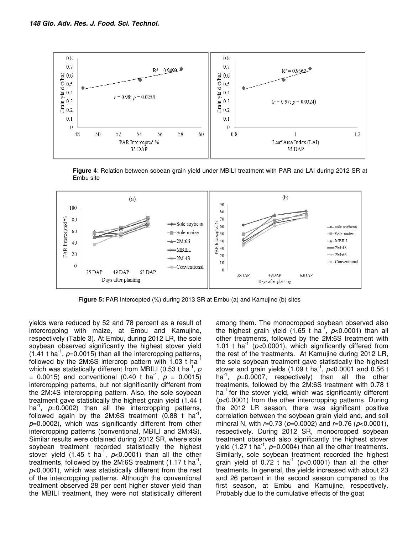

**Figure 4**: Relation between sobean grain yield under MBILI treatment with PAR and LAI during 2012 SR at Embu site



**Figure 5:** PAR Intercepted (%) during 2013 SR at Embu (a) and Kamujine (b) sites

yields were reduced by 52 and 78 percent as a result of intercropping with maize, at Embu and Kamujine, respectively (Table 3). At Embu, during 2012 LR, the sole soybean observed significantly the highest stover yield  $(1.41 \text{ t} \text{ ha}^{\text{-1}}$ ,  $p=0.0015)$  than all the intercropping patterns, followed by the  $2M:6S$  intercrop pattern with 1.03 t ha which was statistically different from MBILI (0.53 t ha<sup>-1</sup>, p  $= 0.0015$ ) and conventional (0.40 t ha<sup>-1</sup>,  $p = 0.0015$ ) intercropping patterns, but not significantly different from the 2M:4S intercropping pattern. Also, the sole soybean treatment gave statistically the highest grain yield (1.44 t ha<sup>-1</sup>, p=0.0002) than all the intercropping patterns, followed again by the 2M:6S treatment  $(0.88 \text{ t} \text{ ha}^{-1},$ *p*=0.0002), which was significantly different from other intercropping patterns (conventional, MBILI and 2M:4S). Similar results were obtained during 2012 SR, where sole soybean treatment recorded statistically the highest stover yield  $(1.45 \t{ t} \text{ ha}^{-1}, \text{ p<0.0001})$  than all the other treatments, followed by the 2M:6S treatment (1.17 t ha<sup>-1</sup>, *p*<0.0001), which was statistically different from the rest of the intercropping patterns. Although the conventional treatment observed 28 per cent higher stover yield than the MBILI treatment, they were not statistically different

among them. The monocropped soybean observed also the highest grain yield (1.65 t ha<sup>-f</sup>, p<0.0001) than all other treatments, followed by the 2M:6S treatment with 1.01 t ha<sup>-1</sup> ( $p$ <0.0001), which significantly differed from the rest of the treatments. At Kamujine during 2012 LR, the sole soybean treatment gave statistically the highest stover and grain yields (1.09 t ha<sup>-1</sup>,  $p$ <0.0001 and 0.56 t ha<sup>-1</sup>, *p*=0.0007, respectively) than all the other treatments, followed by the 2M:6S treatment with 0.78 t ha<sup>-1</sup> for the stover yield, which was significantly different (*p*<0.0001) from the other intercropping patterns. During the 2012 LR season, there was significant positive correlation between the soybean grain yield and, and soil mineral N, with *r*=0.73 (*p*=0.0002) and *r*=0.76 (*p*<0.0001), respectively. During 2012 SR, monocropped soybean treatment observed also significantly the highest stover yield (1.27 t ha<sup>-1</sup>,  $p=0.0004$ ) than all the other treatments. Similarly, sole soybean treatment recorded the highest grain yield of  $0.72$  t ha<sup>-1</sup> ( $p$ <0.0001) than all the other treatments. In general, the yields increased with about 23 and 26 percent in the second season compared to the first season, at Embu and Kamujine, respectively. Probably due to the cumulative effects of the goat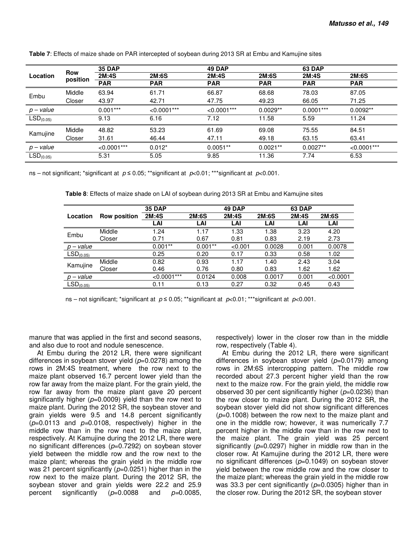|                       |                        | <b>35 DAP</b> |               | 49 DAP         |            | 63 DAP       |               |  |
|-----------------------|------------------------|---------------|---------------|----------------|------------|--------------|---------------|--|
| Location              | <b>Row</b><br>position | 2M:4S         | 2M:6S         | 2M:4S          | 2M:6S      | <b>2M:4S</b> | 2M:6S         |  |
|                       |                        | <b>PAR</b>    | <b>PAR</b>    | <b>PAR</b>     | <b>PAR</b> | <b>PAR</b>   | <b>PAR</b>    |  |
| Embu                  | Middle                 | 63.94         | 61.71         | 66.87          | 68.68      | 78.03        | 87.05         |  |
|                       | Closer                 | 43.97         | 42.71         | 47.75          | 49.23      | 66.05        | 71.25         |  |
| $p$ – value           |                        | $0.001***$    | $< 0.0001***$ | $< 0.0001$ *** | $0.0029**$ | $0.0001***$  | $0.0092**$    |  |
| LSD <sub>(0.05)</sub> |                        | 9.13          | 6.16          | 7.12           | 11.58      | 5.59         | 11.24         |  |
| Kamujine              | Middle                 | 48.82         | 53.23         | 61.69          | 69.08      | 75.55        | 84.51         |  |
|                       | Closer                 | 31.61         | 46.44         | 47.11          | 49.18      | 63.15        | 63.41         |  |
| $p$ – value           |                        | $< 0.0001***$ | $0.012*$      | $0.0051**$     | $0.0021**$ | $0.0027**$   | $< 0.0001***$ |  |
| LSD <sub>(0.05)</sub> |                        | 5.31          | 5.05          | 9.85           | 11.36      | 7.74         | 6.53          |  |

**Table 7**: Effects of maize shade on PAR intercepted of soybean during 2013 SR at Embu and Kamujine sites

ns – not significant; \*significant at *p* ≤ 0.05; \*\*significant at *p*<0.01; \*\*\*significant at *p*<0.001.

**Table 8**: Effects of maize shade on LAI of soybean during 2013 SR at Embu and Kamujine sites

|                       |                     | <b>35 DAP</b> |            | 49 DAP  |        | 63 DAP |          |
|-----------------------|---------------------|---------------|------------|---------|--------|--------|----------|
| Location              | <b>Row position</b> | 2M:4S         | 2M:6S      | 2M:4S   | 2M:6S  | 2M:4S  | 2M:6S    |
|                       |                     | LAI           | LAI        | LAI     | LAI    | LAI    | LAI      |
| Embu                  | Middle              | 1.24          | 1.17       | 1.33    | 1.38   | 3.23   | 4.20     |
|                       | Closer              | 0.71          | 0.67       | 0.81    | 0.83   | 2.19   | 2.73     |
| $p$ – value           |                     | $0.001**$     | $0.001***$ | < 0.001 | 0.0028 | 0.001  | 0.0078   |
| LSD <sub>(0.05)</sub> |                     | 0.25          | 0.20       | 0.17    | 0.33   | 0.58   | 1.02     |
|                       | Middle              | 0.82          | 0.93       | 1.17    | 1.40   | 2.43   | 3.04     |
| Kamujine              | Closer              | 0.46          | 0.76       | 0.80    | 0.83   | 1.62   | 1.62     |
| $p$ – value           |                     | $< 0.0001***$ | 0.0124     | 0.008   | 0.0017 | 0.001  | < 0.0001 |
| LSD <sub>(0.05)</sub> |                     | 0.11          | 0.13       | 0.27    | 0.32   | 0.45   | 0.43     |

ns – not significant; \*significant at *p* ≤ 0.05; \*\*significant at *p*<0.01; \*\*\*significant at *p*<0.001.

manure that was applied in the first and second seasons, and also due to root and nodule senescence.

 At Embu during the 2012 LR, there were significant differences in soybean stover yield (*p*=0.0278) among the rows in 2M:4S treatment, where the row next to the maize plant observed 16.7 percent lower yield than the row far away from the maize plant. For the grain yield, the row far away from the maize plant gave 20 percent significantly higher (*p*=0.0009) yield than the row next to maize plant. During the 2012 SR, the soybean stover and grain yields were 9.5 and 14.8 percent significantly (*p*=0.0113 and *p=*0.0108, respectively) higher in the middle row than in the row next to the maize plant, respectively. At Kamujine during the 2012 LR, there were no significant differences (*p*=0.7292) on soybean stover yield between the middle row and the row next to the maize plant; whereas the grain yield in the middle row was 21 percent significantly ( $p=0.0251$ ) higher than in the row next to the maize plant. During the 2012 SR, the soybean stover and grain yields were 22.2 and 25.9 percent significantly (*p*=0.0088 and *p=*0.0085,

respectively) lower in the closer row than in the middle row, respectively (Table 4).

At Embu during the 2012 LR, there were significant differences in soybean stover yield (*p*=0.0179) among rows in 2M:6S intercropping pattern. The middle row recorded about 27.3 percent higher yield than the row next to the maize row. For the grain yield, the middle row observed 30 per cent significantly higher (*p*=0.0236) than the row closer to maize plant. During the 2012 SR, the soybean stover yield did not show significant differences (*p*=0.1008) between the row next to the maize plant and one in the middle row; however, it was numerically 7.7 percent higher in the middle row than in the row next to the maize plant. The grain yield was 25 percent significantly ( $p=0.0297$ ) higher in middle row than in the closer row. At Kamujine during the 2012 LR, there were no significant differences (*p*=0.1049) on soybean stover yield between the row middle row and the row closer to the maize plant; whereas the grain yield in the middle row was 33.3 per cent significantly ( $p=0.0305$ ) higher than in the closer row. During the 2012 SR, the soybean stover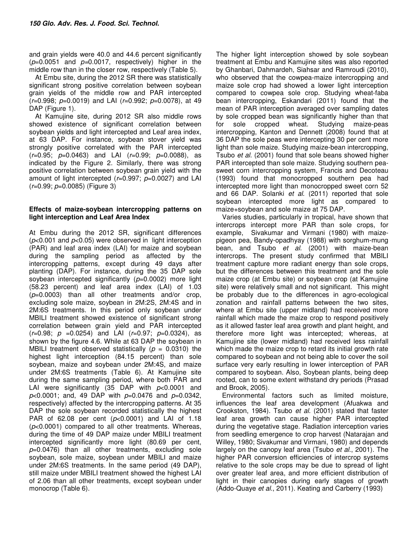and grain yields were 40.0 and 44.6 percent significantly (*p*=0.0051 and *p=*0.0017, respectively) higher in the middle row than in the closer row, respectively (Table 5).

At Embu site, during the 2012 SR there was statistically significant strong positive correlation between soybean grain yields of the middle row and PAR intercepted (*r*=0.998; *p*=0.0019) and LAI (*r*=0.992; *p*=0.0078), at 49 DAP (Figure 1).

At Kamujine site, during 2012 SR also middle rows showed existence of significant correlation between soybean yields and light intercepted and Leaf area index, at 63 DAP. For instance, soybean stover yield was strongly positive correlated with the PAR intercepted (*r*=0.95; *p*=0.0463) and LAI (*r*=0.99; *p*=0.0088), as indicated by the Figure 2. Similarly, there was strong positive correlation between soybean grain yield with the amount of light intercepted (*r*=0.997; *p*=0.0027) and LAI (*r*=0.99; *p*=0.0085) (Figure 3)

## **Effects of maize-soybean intercropping patterns on light interception and Leaf Area Index**

At Embu during the 2012 SR, significant differences (*p*<0.001 and *p*<0.05) were observed in light interception (PAR) and leaf area index (LAI) for maize and soybean during the sampling period as affected by the intercropping patterns, except during 49 days after planting (DAP). For instance, during the 35 DAP sole soybean intercepted significantly (*p*=0.0002) more light (58.23 percent) and leaf area index (LAI) of 1.03 (*p*=0.0003) than all other treatments and/or crop, excluding sole maize, soybean in 2M:2S, 2M:4S and in 2M:6S treatments. In this period only soybean under MBILI treatment showed existence of significant strong correlation between grain yield and PAR intercepted (*r*=0.98; *p* =0.0254) and LAI (*r*=0.97; *p*=0.0324), as shown by the figure 4.6. While at 63 DAP the soybean in MBILI treatment observed statistically  $(p = 0.0310)$  the highest light interception (84.15 percent) than sole soybean, maize and soybean under 2M:4S, and maize under 2M:6S treatments (Table 6). At Kamujine site during the same sampling period, where both PAR and LAI were significantly (35 DAP with *p*<0.0001 and *p*<0.0001; and, 49 DAP with *p*=0.0476 and *p*=0.0342, respectively) affected by the intercropping patterns. At 35 DAP the sole soybean recorded statistically the highest PAR of 62.08 per cent (*p*<0.0001) and LAI of 1.18 (*p*<0.0001) compared to all other treatments. Whereas, during the time of 49 DAP maize under MBILI treatment intercepted significantly more light (80.69 per cent, *p*=0.0476) than all other treatments, excluding sole soybean, sole maize, soybean under MBILI and maize under 2M:6S treatments. In the same period (49 DAP), still maize under MBILI treatment showed the highest LAI of 2.06 than all other treatments, except soybean under monocrop (Table 6).

The higher light interception showed by sole soybean treatment at Embu and Kamujine sites was also reported by Ghanbari, Dahmardeh, Siahsar and Ramroudi (2010), who observed that the cowpea-maize intercropping and maize sole crop had showed a lower light interception compared to cowpea sole crop. Studying wheat-faba bean intercropping, Eskandari (2011) found that the mean of PAR interception averaged over sampling dates by sole cropped bean was significantly higher than that for sole cropped wheat. Studying maize-peas intercropping, Kanton and Dennett (2008) found that at 36 DAP the sole peas were intercepting 30 per cent more light than sole maize. Studying maize-bean intercropping, Tsubo *et al.* (2001) found that sole beans showed higher PAR intercepted than sole maize. Studying southern peasweet corn intercropping system, Francis and Decoteau (1993) found that monocropped southern pea had intercepted more light than monocropped sweet corn 52 and 66 DAP. Solanki *et al.* (2011) reported that sole soybean intercepted more light as compared to maize+soybean and sole maize at 75 DAP.

Varies studies, particularly in tropical, have shown that intercrops intercept more PAR than sole crops, for example, Sivakumar and Virmani (1980) with maizepigeon pea, Bandy-opadhyay (1988) with sorghum-mung bean, and Tsubo *et al.* (2001) with maize-bean intercrops. The present study confirmed that MBILI treatment capture more radiant energy than sole crops, but the differences between this treatment and the sole maize crop (at Embu site) or soybean crop (at Kamujine site) were relatively small and not significant. This might be probably due to the differences in agro-ecological zonation and rainfall patterns between the two sites, where at Embu site (upper midland) had received more rainfall which made the maize crop to respond positively as it allowed faster leaf area growth and plant height, and therefore more light was intercepted; whereas, at Kamujine site (lower midland) had received less rainfall which made the maize crop to retard its initial growth rate compared to soybean and not being able to cover the soil surface very early resulting in lower interception of PAR compared to soybean. Also, Soybean plants, being deep rooted, can to some extent withstand dry periods (Prasad and Brook, 2005).

Environmental factors such as limited moisture, influences the leaf area development (Afuakwa and Crookston, 1984). Tsubo *et al.* (2001) stated that faster leaf area growth can cause higher PAR intercepted during the vegetative stage. Radiation interception varies from seedling emergence to crop harvest (Natarajan and Willey, 1980; Sivakumar and Virmani, 1980) and depends largely on the canopy leaf area (Tsubo *et al*., 2001). The higher PAR conversion efficiencies of intercrop systems relative to the sole crops may be due to spread of light over greater leaf area, and more efficient distribution of light in their canopies during early stages of growth (Addo-Quaye *et al*., 2011). Keating and Carberry (1993)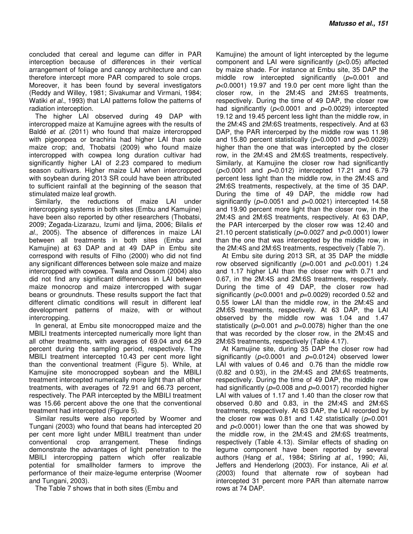concluded that cereal and legume can differ in PAR interception because of differences in their vertical arrangement of foliage and canopy architecture and can therefore intercept more PAR compared to sole crops. Moreover, it has been found by several investigators (Reddy and Willey, 1981; Sivakumar and Virmani, 1984; Watiki *et al.*, 1993) that LAI patterns follow the patterns of radiation interception.

The higher LAI observed during 49 DAP with intercropped maize at Kamujine agrees with the results of Baldé *et al.* (2011) who found that maize intercropped with pigeonpea or brachiria had higher LAI than sole maize crop; and, Thobatsi (2009) who found maize intercropped with cowpea long duration cultivar had significantly higher LAI of 2.23 compared to medium season cultivars. Higher maize LAI when intercropped with soybean during 2013 SR could have been attributed to sufficient rainfall at the beginning of the season that stimulated maize leaf growth.

Similarly, the reductions of maize LAI under intercropping systems in both sites (Embu and Kamujine) have been also reported by other researchers (Thobatsi, 2009; Zegada-Lizarazu, Izumi and Ijima, 2006; Bilalis *et al.*, 2005). The absence of differences in maize LAI between all treatments in both sites (Embu and Kamujine) at 63 DAP and at 49 DAP in Embu site correspond with results of Filho (2000) who did not find any significant differences between sole maize and maize intercropped with cowpea. Twala and Ossom (2004) also did not find any significant differences in LAI between maize monocrop and maize intercropped with sugar beans or groundnuts. These results support the fact that different climatic conditions will result in different leaf development patterns of maize, with or without intercropping.

In general, at Embu site monocropped maize and the MBILI treatments intercepted numerically more light than all other treatments, with averages of 69.04 and 64.29 percent during the sampling period, respectively. The MBILI treatment intercepted 10.43 per cent more light than the conventional treatment (Figure 5). While, at Kamujine site monocropped soybean and the MBILI treatment intercepted numerically more light than all other treatments, with averages of 72.91 and 66.73 percent, respectively. The PAR intercepted by the MBILI treatment was 15.66 percent above the one that the conventional treatment had intercepted (Figure 5).

Similar results were also reported by Woomer and Tungani (2003) who found that beans had intercepted 20 per cent more light under MBILI treatment than under conventional crop arrangement. These findings demonstrate the advantages of light penetration to the MBILI intercropping pattern which offer realizable potential for smallholder farmers to improve the performance of their maize-legume enterprise (Woomer and Tungani, 2003).

The Table 7 shows that in both sites (Embu and

Kamujine) the amount of light intercepted by the legume component and LAI were significantly (*p*<0.05) affected by maize shade. For instance at Embu site, 35 DAP the middle row intercepted significantly (*p*=0.001 and *p*<0.0001) 19.97 and 19.0 per cent more light than the closer row, in the 2M:4S and 2M:6S treatments, respectively. During the time of 49 DAP, the closer row had significantly (*p*<0.0001 and *p*=0.0029) intercepted 19.12 and 19.45 percent less light than the middle row, in the 2M:4S and 2M:6S treatments, respectively. And at 63 DAP, the PAR intercerped by the middle row was 11.98 and 15.80 percent statistically (*p*=0.0001 and *p*=0.0029) higher than the one that was intercepted by the closer row, in the 2M:4S and 2M:6S treatments, respectively. Similarly, at Kamujine the closer row had significantly (*p*<0.0001 and *p*=0.012) intercepted 17.21 and 6.79 percent less light than the middle row, in the 2M:4S and 2M:6S treatments, respectively, at the time of 35 DAP. During the time of 49 DAP, the middle row had significantly ( $p=0.0051$  and  $p=0.0021$ ) intercepted 14.58 and 19.90 percent more light than the closer row, in the 2M:4S and 2M:6S treatments, respectively. At 63 DAP, the PAR intercerped by the closer row was 12.40 and 21.10 percent statistically (*p*=0.0027 and *p*<0.0001) lower than the one that was intercepted by the middle row, in the 2M:4S and 2M:6S treatments, respectively (Table 7).

At Embu site during 2013 SR, at 35 DAP the middle row observed significantly (*p*=0.001 and *p*<0.001) 1.24 and 1.17 higher LAI than the closer row with 0.71 and 0.67, in the 2M:4S and 2M:6S treatments, respectively. During the time of 49 DAP, the closer row had significantly (*p*<0.0001 and *p*=0.0029) recorded 0.52 and 0.55 lower LAI than the middle row, in the 2M:4S and 2M:6S treatments, respectively. At 63 DAP, the LAI observed by the middle row was 1.04 and 1.47 statistically (*p*=0.001 and *p*=0.0078) higher than the one that was recorded by the closer row, in the 2M:4S and 2M:6S treatments, respectively (Table 4.17).

At Kamujine site, during 35 DAP the closer row had significantly (*p*<0.0001 and *p*=0.0124) observed lower LAI with values of 0.46 and 0.76 than the middle row (0.82 and 0.93), in the 2M:4S and 2M:6S treatments, respectively. During the time of 49 DAP, the middle row had significantly ( $p=0.008$  and  $p=0.0017$ ) recorded higher LAI with values of 1.17 and 1.40 than the closer row that observed 0.80 and 0.83, in the 2M:4S and 2M:6S treatments, respectively. At 63 DAP, the LAI recorded by the closer row was 0.81 and 1.42 statistically (*p*=0.001 and  $p<0.0001$ ) lower than the one that was showed by the middle row, in the 2M:4S and 2M:6S treatments, respectively (Table 4.13). Similar effects of shading on legume component have been reported by several authors (Hang *et al.*, 1984; Stirling *at al.*, 1990; Ali, Jeffers and Henderlong (2003). For instance, Ali *et al.* (2003) found that alternate row of soybean had intercepted 31 percent more PAR than alternate narrow rows at 74 DAP.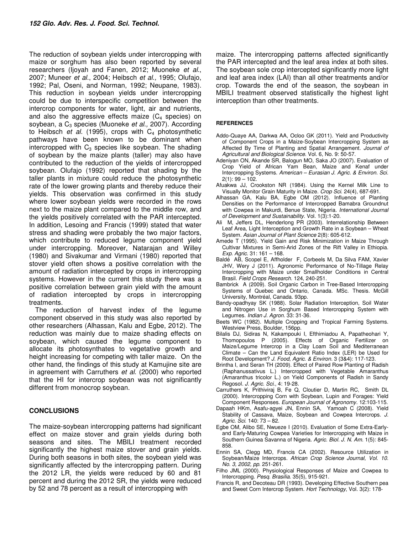The reduction of soybean yields under intercropping with maize or sorghum has also been reported by several researchers (Ijoyah and Fanen, 2012; Muoneke *et al.*, 2007; Muneer *et al.*, 2004; Heibsch *et al.,* 1995; Olufajo, 1992; Pal, Oseni, and Norman, 1992; Neupane, 1983). This reduction in soybean yields under intercropping could be due to interspecific competition between the intercrop components for water, light, air and nutrients, and also the aggressive effects maize  $(C_4$  species) on soybean, a C<sub>3</sub> species (Muoneke *et al.*, 2007). According to Heibsch *et al.* (1995), crops with  $C_4$  photosynthetic pathways have been known to be dominant when intercropped with  $C_3$  species like soybean. The shading of soybean by the maize plants (taller) may also have contributed to the reduction of the yields of intercropped soybean. Olufajo (1992) reported that shading by the taller plants in mixture could reduce the photosynthetic rate of the lower growing plants and thereby reduce their yields. This observation was confirmed in this study where lower soybean yields were recorded in the rows next to the maize plant compared to the middle row, and the yields positively correlated with the PAR intercepted. In addition, Lesoing and Francis (1999) stated that water stress and shading were probably the two major factors, which contribute to reduced legume component yield under intercropping. Moreover, Natarajan and Willey (1980) and Sivakumar and Virmani (1980) reported that stover yield often shows a positive correlation with the amount of radiation intercepted by crops in intercropping systems. However in the current this study there was a positive correlation between grain yield with the amount of radiation intercepted by crops in intercropping treatments.

The reduction of harvest index of the legume component observed in this study was also reported by other researchers (Alhassan, Kalu and Egbe, 2012). The reduction was mainly due to maize shading effects on soybean, which caused the legume component to allocate its photosynthates to vegetative growth and height increasing for competing with taller maize. On the other hand, the findings of this study at Kamujine site are in agreement with Carruthers *et al*. (2000) who reported that the HI for intercrop soybean was not significantly different from monocrop soybean.

# **CONCLUSIONS**

The maize-soybean intercropping patterns had significant effect on maize stover and grain yields during both seasons and sites. The MBILI treatment recorded significantly the highest maize stover and grain yields. During both seasons in both sites, the soybean yield was significantly affected by the intercropping pattern. During the 2012 LR, the yields were reduced by 60 and 81 percent and during the 2012 SR, the yields were reduced by 52 and 78 percent as a result of intercropping with

maize. The intercropping patterns affected significantly the PAR intercepted and the leaf area index at both sites. The soybean sole crop intercepted significantly more light and leaf area index (LAI) than all other treatments and/or crop. Towards the end of the season, the soybean in MBILI treatment observed statistically the highest light interception than other treatments.

### **REFERENCES**

- Addo-Quaye AA, Darkwa AA, Ocloo GK (2011). Yield and Productivity of Component Crops in a Maize-Soybean Intercropping System as Affected By Time of Planting and Spatial Arrangement. *Journal of Agricultural and Biological Science*. Vol. 6, No. 9: 50-57.
- Adeniyan ON, Akande SR, Balogun MO, Saka JO (2007). Evaluation of Crop Yield of African Yam Bean, Maize and Kenaf under Intercropping Systems. *American – Eurasian J. Agric. & Environ. Sci.*   $2(1): 99 - 102.$
- Afuakwa JJ, Crookston NR (1984). Using the Kernel Milk Line to Visually Monitor Grain Maturity in Maize*. Crop Sci*. 24(4), 687-691.
- Alhassan GA, Kalu BA, Egbe OM (2012). Influence of Planting Densities on the Performance of Intercropped Bamabra Groundnut with Cowpea in Makurdi, Benue State, Nigeria. *International Journal of Development and Sustainability.* Vol. 1(3):1-20.
- Ali M, Jeffers DL, Henderlong PR (2003). Interrelationship Between Leaf Area, Light Interception and Growth Rate in a Soybean – Wheat System. *Asian Journal of Plant Science* 2(8): 605-612.
- Amede T (1995). Yield Gain and Risk Minimization in Maize Through Cultivar Mixtures in Semi-Arid Zones of the Rift Valley in Ethiopia. *Exp. Agric.* 31: 161 – 168.
- Baldé AB, Scopel E, Affholder F, Corbeels M, Da Silva FAM, Xavier JHV, Wery J (2011). Agronomic Performance of No-Tillage Relay Intercropping with Maize under Smallholder Conditions in Central Brasil. *Field Crops Research*. 124, 240-251.
- Bambrick A (2009). Soil Organic Carbon in Tree-Based Intercropping Systems of Quebec and Ontario, Canada. MSc. Thesis. McGill University, Montréal, Canada. 93pp.
- Bandy-opadhyay SK (1988). Solar Radiation Interception, Soil Water and Nitrogen Use in Sorghum Based Intercropping System with Legumes. *Indian J. Agron.* 33: 31-36.
- Beets WC (1982). Multiple Cropping and Tropical Farming Systems. Westview Press, Boulder, 156pp.
- Bilalis DJ, Sidiras N, Kakampouki I, Efthimiadou A, Papatheohari Y, Thomopoulos P (2005). Effects of Organic Fertilizer on Maize/Legume Intercrop in a Clay Loam Soil and Mediterranean Climate – Can the Land Equivalent Ratio Index (LER) be Used for Root Development? *J. Food, Agric. & Environ.* 3 (3&4): 117-123.
- Brintha I, and Seran TH (2009). Effect of Paired Row Planting of Radish (Raphanussativus L.) Intercropped with Vegetable Amaranthus (Amaranthus tricolor L.) on Yield Components of Radish in Sandy Regosol*. J. Agric. Sci*., 4: 19-28.
- Carruthers K, Prithiviraj B, Fe Q, Cloutier D, Martin RC, Smith DL (2000). Intercropping Corn with Soybean, Lupin and Forages: Yield Component Responses. *European Journal of Agronomy.* 12:103-115.
- Dapaah HKm, Asafu-agyei JN, Ennin SA, Yamoah C (2008). Yield Stability of Cassava, Maize, Soybean and Cowpea Intercrops. *J. Agric. Sci.* 140: 73 – 82.
- Egbe OM, Alibo SE, Nwueze I (2010). Evaluation of Some Extra-Earlyand Early-Maturing Cowpea Varieties for Intercropping with Maize in Southern Guinea Savanna of Nigeria. *Agric. Biol. J. N. Am.* 1(5): 845- 858.
- Ennin SA, Clegg MD, Francis CA (2002). Resource Utilization in Soybean/Maize Intercrops. *African Crop Science Journal, Vol. 10. No. 3, 2002, pp.* 251-261.
- Filho JML (2000). Physiological Responses of Maize and Cowpea to Intercropping. *Pesq. Brasilia.* 35(5), 915-921.
- Francis R, and Decoteau DR (1993). Developing Effective Southern pea and Sweet Corn Intercrop System. *Hort Technology*, Vol. 3(2): 178-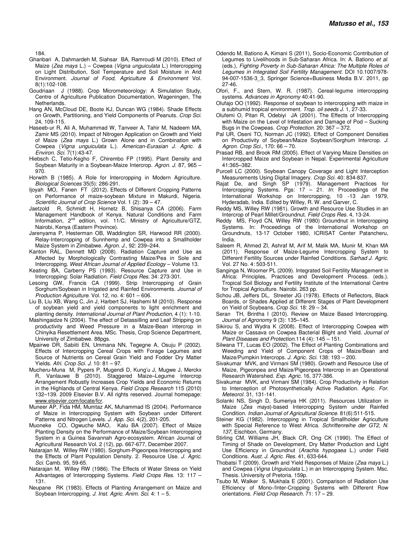184.

- Ghanbari A, Dahmardeh M, Siahsar BA, Ramroudi M (2010). Effect of Maize (*Zea mays* L.) – Cowpea (*Vigna unguiculata* L.) Intercropping on Light Distribution, Soil Temperature and Soil Moisture in Arid Environment. *Journal of Food, Agriculture & Environment* Vol. 8(1):102-108.
- Goudriaan J (1988). Crop Micrometeorology: A Simulation Study, Centre of Agriculture Publication Documentation, Wageningen, The Netherlands.
- Hang AN, McCloud DE, Boote KJ, Duncan WG (1984). Shade Effects on Growth, Partitioning, and Yield Components of Peanuts. *Crop Sci.* 24, 109-115.
- Haseeb-ur R, Ali A, Muhammad W, Tanveer A, Tahir M, Nadeem MA, Zamir MS (2010). Impact of Nitrogen Application on Growth and Yield of Maize (*Zea mays* L.) Grown Alone and in Combination with Cowpea (*Vigna unguiculata* L.). *American-Eurasian J. Agric. & Environ. Sci.* 7(1):43-47.
- Hiebsch C, Tetio-Kegho F, Chirembo FP (1995). Plant Density and Soybean Maturity in a Soybean-Maize Intercrop. *Agron. J*. 87, 965 – 970.
- Horwith B (1985). A Role for Intercropping in Modern Agriculture. *Biological Sciences* 35(5): 286-291.
- Ijoyah MO, Fanen FT (2012). Effects of Different Cropping Patterns on Performance of maize-soybean Mixture in Makurdi, Nigeria. *Scientific Journal of Crop Science* Vol. 1 (2): 39 – 47.
- Jaetzold R, Schmidt H, Hornetz B, Shisanya CA (2006). Farm Management Handbook of Kenya. Natural Conditions and Farm Information, 2<sup>nd</sup> edition, vol. 11/C. Ministry of Agriculture/GTZ, Nairobi, Kenya (Eastern Province).
- Jarenyama P, Hesterman OB, Waddington SR, Harwood RR (2000). Relay-Intercropping of Sunnhemp and Cowpea into a Smallholder Maize System in Zimbabwe. *Agron. J*., 92: 239–244.
- Kanton RAL, Dennett MD (2008). Radiation Capture and Use as Affected by Morphologically Contrasting Maize/Pea in Sole and Intercropping. *West African Journal of Applied Ecology* – Volume 13.
- Keating BA, Carberry PS (1993). Resource Capture and Use in Intercropping: Solar Radiation*. Field Crops Res*. 34: 273-301.
- Lesoing GW, Francis CA (1999). Strip Intercropping of Grain Sorghum/Soybean in Irrigated and Rainfed Environments. *Journal of Production Agriculture*. Vol. 12, no. 4: 601 – 606.
- Liu B, Liu XB, Wang C, Jin J, Harbert SJ, Hashemi M (2010). Response of soybean yield and yield components to light enrichment and planting density. *International Journal of Plant Production*, 4 (1): 1-10.
- Mashingaidze N (2004). The effect of Detassilling and Leaf Stripping on productivity and Weed Pressure in a Maize-Bean intercrop in Chinyika Resettlement Area. MSc. Thesis, Crop Science Department, University of Zimbabwe. 88pgs.
- Mpairwe DR, Sabiiti EN, Ummana NN, Tegegne A, Osuju P (2002). Effects of Intercropping Cereal Crops with Forage Legumes and Source of Nutrients on Cereal Grain Yield and Fodder Dry Matter Yields. *Afri. Crop Sci. J.* 10: 81 – 97.
- Mucheru-Muna M, Pypers P, Mugendi D, Kung'u J, Mugwe J, Merckx R, Vanlauwe B (2010). Staggered Maize–Legume Intercrop Arrangement Robustly Increases Crop Yields and Economic Returns in the Highlands of Central Kenya*. Field Crops Research* 115 (2010) 132–139. 2009 Elsevier B.V. All rights reserved. Journal homepage: www.elsevier.com/locate/fcr.
- Muneer AP, Fida HM, Mumtaz AK, Muhammad IS (2004). Performance of Maize in Intercropping System with Soybean under Different Patterns and Nitrogen Levels. *J. App. Sci*. 4(2), 201-205.
- Muoneke CO, Ogwuche MAO, Kalu BA (2007). Effect of Maize Planting Density on the Performance of Maize/Soybean Intercropping System in a Guinea Savannah Agro-ecosystem. African Journal of Agricultural Research Vol. 2 (12), pp. 667-677, December 2007.
- Natarajan M, Willey RW (1980). Sorghum-Pigeonpea Intercropping and the Effects of Plant Population Density. 2. Resource Use. *J. Agric. Sci.* Camb. 95, 59-65.
- Natarajan M, Willey RW (1986). The Effects of Water Stress on Yield Advantages of Intercropping Systems. *Field Crops Res.* 13: 117 – 131.
- Neupane RK (1983). Effects of Planting Arrangement on Maize and Soybean Intercropping. *J. Inst. Agric. Anim. Sci.* 4: 1 – 5.
- Odendo M, Bationo A, Kimani S (2011), Socio-Economic Contribution of Legumes to Livelihoods in Sub-Saharan Africa. In: A. Bationo *et al.*  (eds.), *Fighting Poverty in Sub-Saharan Africa: The Multiple Roles of Legumes in Integrated Soil Fertility Management.* DOI 10.1007/978- 94-007-1536-3\_3, Springer Science+Business Media B.V. 2011, pp 27-46.
- Ofori, F., and Stern, W. R. (1987). Cereal-legume intercropping systems. *Advances in Agronomy* 40:41-90.
- Olufajo OO (1992). Response of soybean to intercropping with maize in a subhumid tropical environment. *Trop. oil seeds J*. 1, 27-33.
- Olufemi O, Pitan R, Odebiyi JA (2001). The Effects of Intercropping with Maize on the Level of Infestation and Damage of Pod – Sucking Bugs in the Cowpeas. *Crop Protection*. 20: 367 – 372.
- Pal UR, Oseni TO, Norman JC (1992). Effect of Component Densities on Productivity of Soybean/Maize Soybean/Sorghum Intercrop. *J. Agron. Crop Sci*., 170: 66 – 70.
- Prasad RB, and Brook RM (2005). Effect of Varying Maize Densities on Intercropped Maize and Soybean in Nepal. Experimental Agriculture 41:365–382.
- Purcell LC (2000). Soybean Canopy Coverage and Light Interception Measurements Using Digital Imagery. *Crop Sci.* 40: 834-837.
- Rajat De, and Singh SP (1979). Management Practices for Intercropping Systems. Pgs: 17 – 21. *In*: Proceedings of the International Workshop on Intercropping, 10 -13 Jan 1979, Hyderadab, India. Edited by Willey, R. W. and Garver, C.
- Reddy MS, Willey RW (1981). Growth and Resource Use Studies in an Intercrop of Pearl Millet/Groundnut. *Field Crops Res.* 4, 13-24.
- Reddy MS, Floyd CN, Willey RW (1980) Groundnut in Intercropping Systems*.* In: Proceedings of the International Workshop on Groundnuts, 13-17 October 1980, ICRISAT Center Patancheru, India.
- Saleem R, Ahmed ZI, Ashraf M, Arif M, Malik MA, Munir M, Khan MA (2011). Response of Maize-Legume Intercropping System to Different Fertility Sources under Rainfed Conditions. *Sarhad J. Agric.*  Vol. 27 No. 4: 503-511.
- Sanginga N, Woomer PL (2009). Integrated Soil Fertility Management in Africa: Principles, Practices and Development Process*.* (eds.). Tropical Soil Biology and Fertility Institute of the International Centre for Tropical Agriculture. Nairobi. 263 pp.
- Schou JB, Jeffers DL, Streeter JG (1978). Effects of Reflectors, Black Boards, or Shades Applied at Different Stages of Plant Development on Yield of Soybeans. *Crop Sci.* 18: 29 – 34.
- Seran TH, Brintha I (2010). Review on Maize Based Intercropping. *Journal of Agronomy* 9 (3): 135–145.
- Sikirou S, and Wydra K (2008). Effect of Intercropping Cowpea with Maize or Cassava on Cowpea Bacterial Blight and Yield. *Journal of Plant Diseases and Protection.*114 (4): 145 – 151.
- Silwana TT, Lucas EO (2002). The Effect of Planting Combinations and Weeding and Yield of Component Crops of Maize/Bean and Maize/Pumpkin Intercrops. *J. Agric. Sci.* 138: 193 – 200.
- Sivakumar MVK, and Virmani SM (1980). Growth and Resource Use of Maize, Pigeonpea and Maize/Pigeonpea Intercrop in an Operational Research Watershed. *Exp. Agric.* 16, 377-386.
- Sivakumar MVK, and Virmani SM (1984). Crop Productivity in Relation to Interception of Photosynthetically Active Radiation. *Agric. For. Meteorol.* 31, 131-141.
- Solanki NS, Singh D, Sumeriya HK (2011). Resources Utilization in Maize (*Zea mays*)-based Intercropping System under Rainfed Condition. *Indian Journal of Agricultural Science*. 81(6):511-515.
- Steiner KG (1982). Intercropping in Tropical Smallholder Agriculture with Special Reference to West Africa. *Schriftenreihe der GT2, N. 137*, Eischbon, Germany.
- Stirling CM, Williams JH, Black CR, Ong CK (1990). The Effect of Timing of Shade on Development, Dry Matter Production and Light Use Efficiency in Groundnut (*Arachis hypogaea* L.) under Field Conditions. *Aust. J. Agric. Res.* 41, 633-644.
- Thobatsi T (2009). Growth and Yield Responses of Maize (*Zea mays* L.) and Cowpea (*Vigna Unguiculata* L.) in an Intercropping System*.* Msc. Thesis. University of Pretoria. 159p.
- Tsubo M, Walker S, Mukhala E (2001). Comparison of Radiation Use Efficiency of Mono-/Inter-Cropping Systems with Different Row orientations. *Field Crop Research.* 71: 17 – 29.